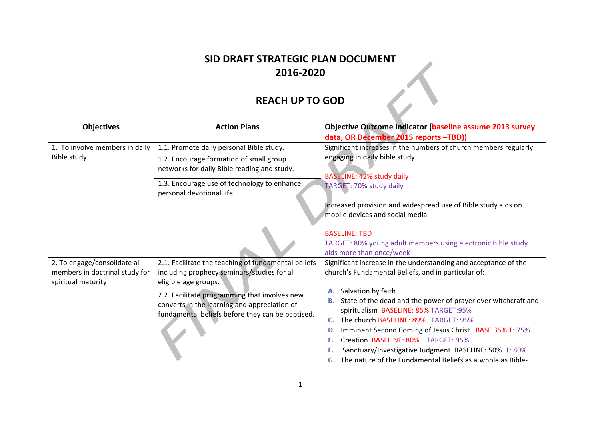## **SID DRAFT STRATEGIC PLAN DOCUMENT 2016-2020**

## **REACH UP TO GOD**

| <b>Objectives</b>              | <b>Action Plans</b>                                                     | <b>Objective Outcome Indicator (baseline assume 2013 survey</b>     |
|--------------------------------|-------------------------------------------------------------------------|---------------------------------------------------------------------|
|                                |                                                                         | data, OR December 2015 reports -TBD))                               |
| 1. To involve members in daily | 1.1. Promote daily personal Bible study.                                | Significant increases in the numbers of church members regularly    |
| Bible study                    | 1.2. Encourage formation of small group                                 | engaging in daily bible study                                       |
|                                | networks for daily Bible reading and study.                             |                                                                     |
|                                |                                                                         | BASELINE: 42% study daily                                           |
|                                | 1.3. Encourage use of technology to enhance<br>personal devotional life | TARGET: 70% study daily                                             |
|                                |                                                                         |                                                                     |
|                                |                                                                         | Increased provision and widespread use of Bible study aids on       |
|                                |                                                                         | mobile devices and social media                                     |
|                                |                                                                         | <b>BASELINE: TBD</b>                                                |
|                                |                                                                         | TARGET: 80% young adult members using electronic Bible study        |
|                                |                                                                         | aids more than once/week                                            |
| 2. To engage/consolidate all   | 2.1. Facilitate the teaching of fundamental beliefs                     | Significant increase in the understanding and acceptance of the     |
| members in doctrinal study for | including prophecy seminars/studies for all                             | church's Fundamental Beliefs, and in particular of:                 |
| spiritual maturity             | eligible age groups.                                                    |                                                                     |
|                                | 2.2. Facilitate programming that involves new                           | Salvation by faith<br>А.                                            |
|                                | converts in the learning and appreciation of                            | State of the dead and the power of prayer over witchcraft and<br>В. |
|                                | fundamental beliefs before they can be baptised.                        | spiritualism BASELINE: 85% TARGET:95%                               |
|                                |                                                                         | The church BASELINE: 89% TARGET: 95%<br>С.                          |
|                                |                                                                         | Imminent Second Coming of Jesus Christ BASE 35% T: 75%<br>D.        |
|                                |                                                                         | Creation BASELINE: 80% TARGET: 95%<br>Е.                            |
|                                |                                                                         | Sanctuary/Investigative Judgment BASELINE: 50% T: 80%<br>F.         |
|                                |                                                                         | G. The nature of the Fundamental Beliefs as a whole as Bible-       |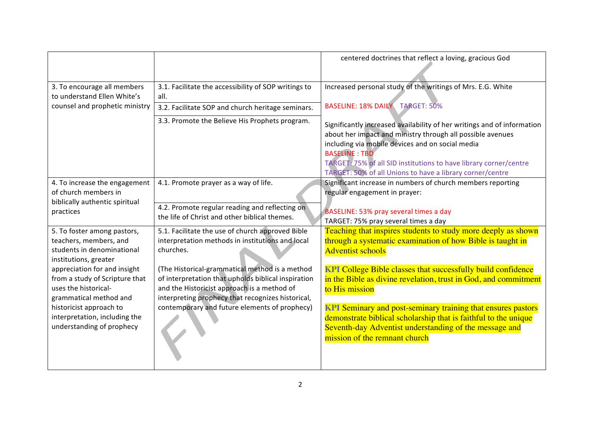|                                                                                                                  |                                                                                                                                                                                                           | centered doctrines that reflect a loving, gracious God                                                                                                                                                                                                                                 |
|------------------------------------------------------------------------------------------------------------------|-----------------------------------------------------------------------------------------------------------------------------------------------------------------------------------------------------------|----------------------------------------------------------------------------------------------------------------------------------------------------------------------------------------------------------------------------------------------------------------------------------------|
|                                                                                                                  |                                                                                                                                                                                                           |                                                                                                                                                                                                                                                                                        |
| 3. To encourage all members<br>to understand Ellen White's                                                       | 3.1. Facilitate the accessibility of SOP writings to                                                                                                                                                      | Increased personal study of the writings of Mrs. E.G. White                                                                                                                                                                                                                            |
| counsel and prophetic ministry                                                                                   | all.<br>3.2. Facilitate SOP and church heritage seminars.                                                                                                                                                 | BASELINE: 18% DAILY TARGET: 50%                                                                                                                                                                                                                                                        |
|                                                                                                                  | 3.3. Promote the Believe His Prophets program.                                                                                                                                                            | Significantly increased availability of her writings and of information<br>about her impact and ministry through all possible avenues<br>including via mobile devices and on social media<br><b>BASELINE: TBD</b><br>TARGET: 75% of all SID institutions to have library corner/centre |
| 4. To increase the engagement<br>of church members in                                                            | 4.1. Promote prayer as a way of life.                                                                                                                                                                     | TARGET: 50% of all Unions to have a library corner/centre<br>Significant increase in numbers of church members reporting<br>regular engagement in prayer:                                                                                                                              |
| biblically authentic spiritual<br>practices                                                                      | 4.2. Promote regular reading and reflecting on<br>the life of Christ and other biblical themes.                                                                                                           | BASELINE: 53% pray several times a day<br>TARGET: 75% pray several times a day                                                                                                                                                                                                         |
| 5. To foster among pastors,<br>teachers, members, and<br>students in denominational<br>institutions, greater     | 5.1. Facilitate the use of church approved Bible<br>interpretation methods in institutions and local<br>churches.                                                                                         | Teaching that inspires students to study more deeply as shown<br>through a systematic examination of how Bible is taught in<br><b>Adventist schools</b>                                                                                                                                |
| appreciation for and insight<br>from a study of Scripture that<br>uses the historical-<br>grammatical method and | (The Historical-grammatical method is a method<br>of interpretation that upholds biblical inspiration<br>and the Historicist approach is a method of<br>interpreting prophecy that recognizes historical, | <b>KPI College Bible classes that successfully build confidence</b><br>in the Bible as divine revelation, trust in God, and commitment<br>to His mission                                                                                                                               |
| historicist approach to<br>interpretation, including the<br>understanding of prophecy                            | contemporary and future elements of prophecy)                                                                                                                                                             | <b>KPI</b> Seminary and post-seminary training that ensures pastors<br>demonstrate biblical scholarship that is faithful to the unique<br>Seventh-day Adventist understanding of the message and<br>mission of the remnant church                                                      |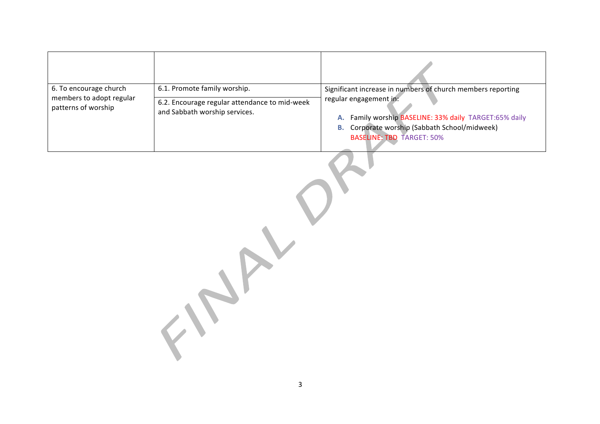| 6. To encourage church<br>members to adopt regular | 6.1. Promote family worship.                                                   | Significant increase in numbers of church members reporting<br>regular engagement in:                          |
|----------------------------------------------------|--------------------------------------------------------------------------------|----------------------------------------------------------------------------------------------------------------|
| patterns of worship                                | 6.2. Encourage regular attendance to mid-week<br>and Sabbath worship services. |                                                                                                                |
|                                                    |                                                                                | A. Family worship BASELINE: 33% daily TARGET:65% daily<br><b>B.</b> Corporate worship (Sabbath School/midweek) |
|                                                    |                                                                                | <b>BASELINE: TBD TARGET: 50%</b>                                                                               |
|                                                    |                                                                                |                                                                                                                |
|                                                    |                                                                                |                                                                                                                |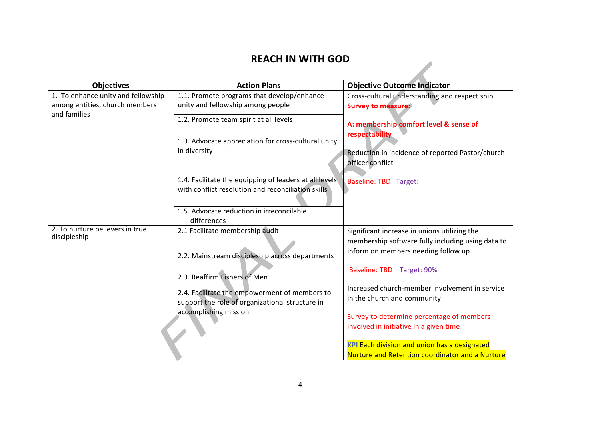## **REACH IN WITH GOD**

| <b>Objectives</b>                  | <b>Action Plans</b>                                                                              | <b>Objective Outcome Indicator</b>                                   |
|------------------------------------|--------------------------------------------------------------------------------------------------|----------------------------------------------------------------------|
| 1. To enhance unity and fellowship | 1.1. Promote programs that develop/enhance                                                       | Cross-cultural understanding and respect ship                        |
| among entities, church members     | unity and fellowship among people                                                                | <b>Survey to measure:</b>                                            |
| and families                       | 1.2. Promote team spirit at all levels                                                           | A: membership comfort level & sense of<br>respectability             |
|                                    | 1.3. Advocate appreciation for cross-cultural unity                                              |                                                                      |
|                                    | in diversity                                                                                     | Reduction in incidence of reported Pastor/church<br>officer conflict |
|                                    | 1.4. Facilitate the equipping of leaders at all levels                                           | <b>Baseline: TBD</b> Target:                                         |
|                                    | with conflict resolution and reconciliation skills                                               |                                                                      |
|                                    | 1.5. Advocate reduction in irreconcilable                                                        |                                                                      |
|                                    | differences                                                                                      |                                                                      |
| 2. To nurture believers in true    | 2.1 Facilitate membership audit                                                                  | Significant increase in unions utilizing the                         |
| discipleship                       |                                                                                                  | membership software fully including using data to                    |
|                                    | 2.2. Mainstream discipleship across departments                                                  | inform on members needing follow up                                  |
|                                    | 2.3. Reaffirm Fishers of Men                                                                     | Baseline: TBD Target: 90%                                            |
|                                    |                                                                                                  | Increased church-member involvement in service                       |
|                                    | 2.4. Facilitate the empowerment of members to<br>support the role of organizational structure in | in the church and community                                          |
|                                    | accomplishing mission                                                                            | Survey to determine percentage of members                            |
|                                    |                                                                                                  | involved in initiative in a given time                               |
|                                    |                                                                                                  | <b>KPI Each division and union has a designated</b>                  |
|                                    |                                                                                                  | Nurture and Retention coordinator and a Nurture                      |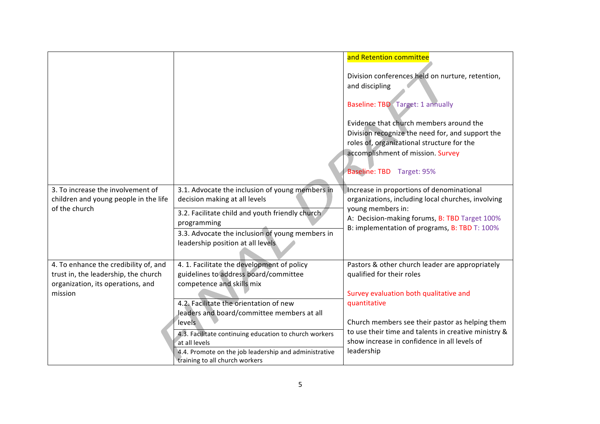| 3. To increase the involvement of<br>children and young people in the life<br>of the church                                   | 3.1. Advocate the inclusion of young members in<br>decision making at all levels<br>3.2. Facilitate child and youth friendly church<br>programming<br>3.3. Advocate the inclusion of young members in                                                                | and Retention committee<br>Division conferences held on nurture, retention,<br>and discipling<br>Baseline: TBD Target: 1 annually<br>Evidence that church members around the<br>Division recognize the need for, and support the<br>roles of, organizational structure for the<br>accomplishment of mission. Survey<br>Baseline: TBD Target: 95%<br>Increase in proportions of denominational<br>organizations, including local churches, involving<br>young members in:<br>A: Decision-making forums, B: TBD Target 100%<br>B: implementation of programs, B: TBD T: 100% |
|-------------------------------------------------------------------------------------------------------------------------------|----------------------------------------------------------------------------------------------------------------------------------------------------------------------------------------------------------------------------------------------------------------------|----------------------------------------------------------------------------------------------------------------------------------------------------------------------------------------------------------------------------------------------------------------------------------------------------------------------------------------------------------------------------------------------------------------------------------------------------------------------------------------------------------------------------------------------------------------------------|
|                                                                                                                               | leadership position at all levels                                                                                                                                                                                                                                    |                                                                                                                                                                                                                                                                                                                                                                                                                                                                                                                                                                            |
| 4. To enhance the credibility of, and<br>trust in, the leadership, the church<br>organization, its operations, and<br>mission | 4. 1. Facilitate the development of policy<br>guidelines to address board/committee<br>competence and skills mix                                                                                                                                                     | Pastors & other church leader are appropriately<br>qualified for their roles<br>Survey evaluation both qualitative and                                                                                                                                                                                                                                                                                                                                                                                                                                                     |
|                                                                                                                               | 4.2. Facilitate the orientation of new<br>leaders and board/committee members at all<br>levels<br>4.3. Facilitate continuing education to church workers<br>at all levels<br>4.4. Promote on the job leadership and administrative<br>training to all church workers | quantitative<br>Church members see their pastor as helping them<br>to use their time and talents in creative ministry &<br>show increase in confidence in all levels of<br>leadership                                                                                                                                                                                                                                                                                                                                                                                      |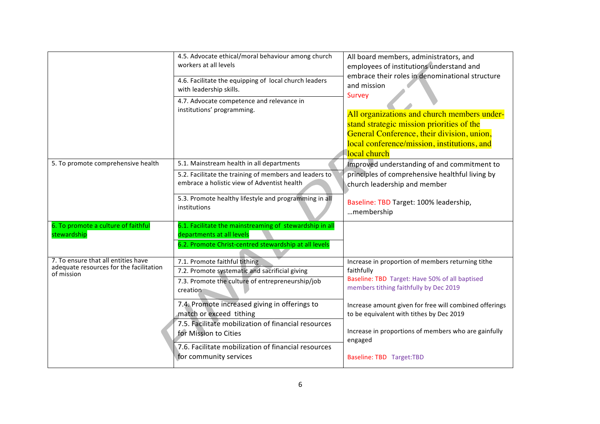|                                                                                              | 4.5. Advocate ethical/moral behaviour among church<br>workers at all levels<br>4.6. Facilitate the equipping of local church leaders<br>with leadership skills.<br>4.7. Advocate competence and relevance in<br>institutions' programming.                                                                                                                                                   | All board members, administrators, and<br>employees of institutions understand and<br>embrace their roles in denominational structure<br>and mission<br>Survey<br>All organizations and church members under-<br>stand strategic mission priorities of the<br>General Conference, their division, union,<br>local conference/mission, institutions, and<br><b>local church</b> |
|----------------------------------------------------------------------------------------------|----------------------------------------------------------------------------------------------------------------------------------------------------------------------------------------------------------------------------------------------------------------------------------------------------------------------------------------------------------------------------------------------|--------------------------------------------------------------------------------------------------------------------------------------------------------------------------------------------------------------------------------------------------------------------------------------------------------------------------------------------------------------------------------|
| 5. To promote comprehensive health                                                           | 5.1. Mainstream health in all departments<br>5.2. Facilitate the training of members and leaders to<br>embrace a holistic view of Adventist health<br>5.3. Promote healthy lifestyle and programming in all<br>institutions                                                                                                                                                                  | Improved understanding of and commitment to<br>principles of comprehensive healthful living by<br>church leadership and member<br>Baseline: TBD Target: 100% leadership,<br>membership                                                                                                                                                                                         |
| 6. To promote a culture of faithful<br>stewardship                                           | 6.1. Facilitate the mainstreaming of stewardship in all<br>departments at all levels<br>6.2. Promote Christ-centred stewardship at all levels                                                                                                                                                                                                                                                |                                                                                                                                                                                                                                                                                                                                                                                |
| 7. To ensure that all entities have<br>adequate resources for the facilitation<br>of mission | 7.1. Promote faithful tithing<br>7.2. Promote systematic and sacrificial giving<br>7.3. Promote the culture of entrepreneurship/job<br>creation<br>7.4. Promote increased giving in offerings to<br>match or exceed tithing<br>7.5. Facilitate mobilization of financial resources<br>for Mission to Cities<br>7.6. Facilitate mobilization of financial resources<br>for community services | Increase in proportion of members returning tithe<br>faithfully<br>Baseline: TBD Target: Have 50% of all baptised<br>members tithing faithfully by Dec 2019<br>Increase amount given for free will combined offerings<br>to be equivalent with tithes by Dec 2019<br>Increase in proportions of members who are gainfully<br>engaged<br>Baseline: TBD Target: TBD              |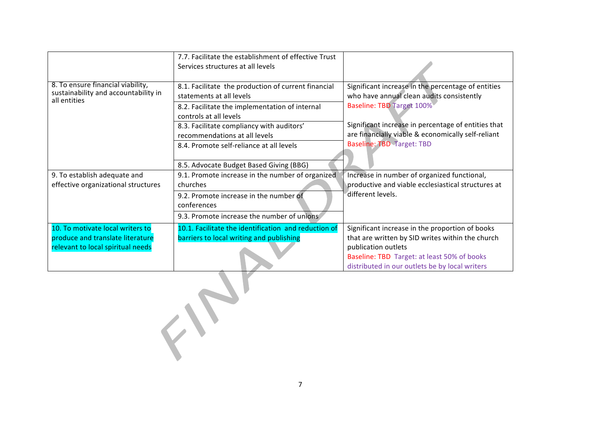|                                                                                                           | 7.7. Facilitate the establishment of effective Trust<br>Services structures at all levels                                                                                                                                                                                                                                        |                                                                                                                                                                                                                                                                               |
|-----------------------------------------------------------------------------------------------------------|----------------------------------------------------------------------------------------------------------------------------------------------------------------------------------------------------------------------------------------------------------------------------------------------------------------------------------|-------------------------------------------------------------------------------------------------------------------------------------------------------------------------------------------------------------------------------------------------------------------------------|
| 8. To ensure financial viability,<br>sustainability and accountability in<br>all entities                 | 8.1. Facilitate the production of current financial<br>statements at all levels<br>8.2. Facilitate the implementation of internal<br>controls at all levels<br>8.3. Facilitate compliancy with auditors'<br>recommendations at all levels<br>8.4. Promote self-reliance at all levels<br>8.5. Advocate Budget Based Giving (BBG) | Significant increase in the percentage of entities<br>who have annual clean audits consistently<br>Baseline: TBD Target 100%<br>Significant increase in percentage of entities that<br>are financially viable & economically self-reliant<br><b>Baseline: TBD Target: TBD</b> |
| 9. To establish adequate and<br>effective organizational structures                                       | 9.1. Promote increase in the number of organized<br>churches<br>9.2. Promote increase in the number of<br>conferences<br>9.3. Promote increase the number of unions                                                                                                                                                              | Increase in number of organized functional,<br>productive and viable ecclesiastical structures at<br>different levels.                                                                                                                                                        |
| 10. To motivate local writers to<br>produce and translate literature<br>relevant to local spiritual needs | 10.1. Facilitate the identification and reduction of<br>barriers to local writing and publishing                                                                                                                                                                                                                                 | Significant increase in the proportion of books<br>that are written by SID writes within the church<br>publication outlets<br>Baseline: TBD Target: at least 50% of books<br>distributed in our outlets be by local writers                                                   |
|                                                                                                           |                                                                                                                                                                                                                                                                                                                                  |                                                                                                                                                                                                                                                                               |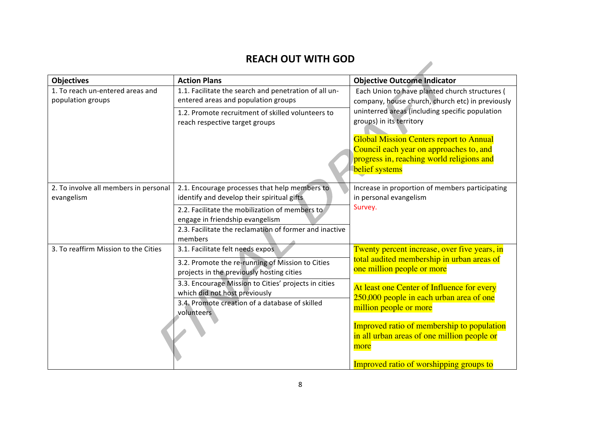## **REACH OUT WITH GOD**

 $\overline{\phantom{a}}$ 

| <b>Objectives</b>                                     | <b>Action Plans</b>                                                                                                                                   | <b>Objective Outcome Indicator</b>                                                                                                                                                                                                             |
|-------------------------------------------------------|-------------------------------------------------------------------------------------------------------------------------------------------------------|------------------------------------------------------------------------------------------------------------------------------------------------------------------------------------------------------------------------------------------------|
| 1. To reach un-entered areas and<br>population groups | 1.1. Facilitate the search and penetration of all un-<br>entered areas and population groups                                                          | Each Union to have planted church structures (<br>company, house church, church etc) in previously                                                                                                                                             |
|                                                       | 1.2. Promote recruitment of skilled volunteers to<br>reach respective target groups                                                                   | uninterred areas (including specific population<br>groups) in its territory<br><b>Global Mission Centers report to Annual</b><br>Council each year on approaches to, and<br>progress in, reaching world religions and<br><b>belief</b> systems |
| 2. To involve all members in personal<br>evangelism   | 2.1. Encourage processes that help members to<br>identify and develop their spiritual gifts                                                           | Increase in proportion of members participating<br>in personal evangelism                                                                                                                                                                      |
|                                                       | 2.2. Facilitate the mobilization of members to<br>engage in friendship evangelism<br>2.3. Facilitate the reclamation of former and inactive           | Survey.                                                                                                                                                                                                                                        |
|                                                       | members                                                                                                                                               |                                                                                                                                                                                                                                                |
| 3. To reaffirm Mission to the Cities                  | 3.1. Facilitate felt needs expos<br>3.2. Promote the re-running of Mission to Cities<br>projects in the previously hosting cities                     | Twenty percent increase, over five years, in<br>total audited membership in urban areas of<br>one million people or more                                                                                                                       |
|                                                       | 3.3. Encourage Mission to Cities' projects in cities<br>which did not host previously<br>3.4. Promote creation of a database of skilled<br>volunteers | At least one Center of Influence for every<br>250,000 people in each urban area of one<br>million people or more                                                                                                                               |
|                                                       |                                                                                                                                                       | Improved ratio of membership to population<br>in all urban areas of one million people or<br>more                                                                                                                                              |
|                                                       |                                                                                                                                                       | Improved ratio of worshipping groups to                                                                                                                                                                                                        |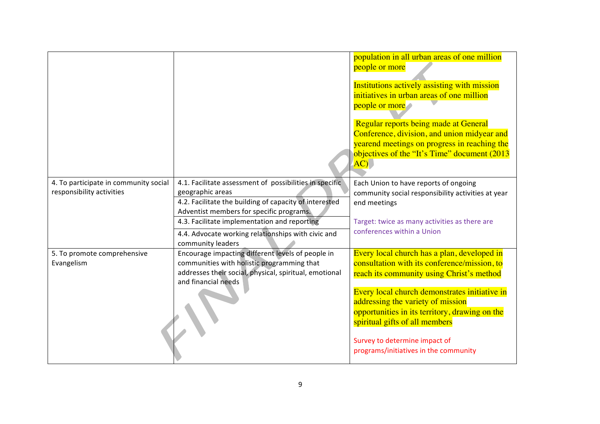|                                                                    |                                                                                                                                                                                                                                                                                                              | population in all urban areas of one million<br>people or more<br>Institutions actively assisting with mission<br>initiatives in urban areas of one million<br>people or more<br>Regular reports being made at General<br>Conference, division, and union midyear and<br>yearend meetings on progress in reaching the<br>objectives of the "It's Time" document (2013<br>AC                  |
|--------------------------------------------------------------------|--------------------------------------------------------------------------------------------------------------------------------------------------------------------------------------------------------------------------------------------------------------------------------------------------------------|----------------------------------------------------------------------------------------------------------------------------------------------------------------------------------------------------------------------------------------------------------------------------------------------------------------------------------------------------------------------------------------------|
| 4. To participate in community social<br>responsibility activities | 4.1. Facilitate assessment of possibilities in specific<br>geographic areas<br>4.2. Facilitate the building of capacity of interested<br>Adventist members for specific programs.<br>4.3. Facilitate implementation and reporting<br>4.4. Advocate working relationships with civic and<br>community leaders | Each Union to have reports of ongoing<br>community social responsibility activities at year<br>end meetings<br>Target: twice as many activities as there are<br>conferences within a Union                                                                                                                                                                                                   |
| 5. To promote comprehensive<br>Evangelism                          | Encourage impacting different levels of people in<br>communities with holistic programming that<br>addresses their social, physical, spiritual, emotional<br>and financial needs                                                                                                                             | Every local church has a plan, developed in<br>consultation with its conference/mission, to<br>reach its community using Christ's method<br>Every local church demonstrates initiative in<br>addressing the variety of mission<br>opportunities in its territory, drawing on the<br>spiritual gifts of all members<br>Survey to determine impact of<br>programs/initiatives in the community |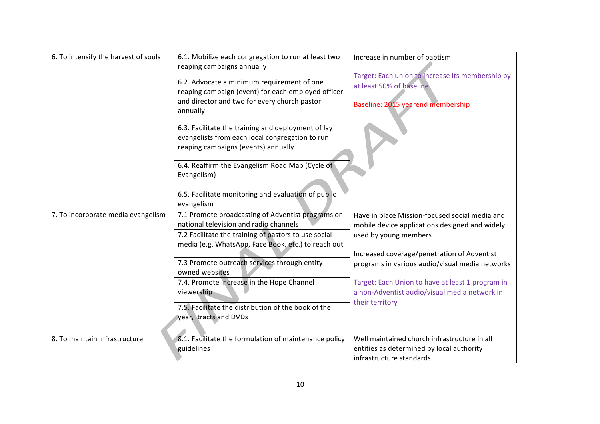| reaping campaign (event) for each employed officer<br>and director and two for every church pastor<br>annually                               | Target: Each union to increase its membership by<br>at least 50% of baseline<br>Baseline: 2015 yearend membership     |
|----------------------------------------------------------------------------------------------------------------------------------------------|-----------------------------------------------------------------------------------------------------------------------|
| 6.3. Facilitate the training and deployment of lay<br>evangelists from each local congregation to run<br>reaping campaigns (events) annually |                                                                                                                       |
| 6.4. Reaffirm the Evangelism Road Map (Cycle of<br>Evangelism)                                                                               |                                                                                                                       |
| 6.5. Facilitate monitoring and evaluation of public<br>evangelism                                                                            |                                                                                                                       |
| 7.1 Promote broadcasting of Adventist programs on<br>national television and radio channels                                                  | Have in place Mission-focused social media and<br>mobile device applications designed and widely                      |
| 7.2 Facilitate the training of pastors to use social<br>media (e.g. WhatsApp, Face Book, etc.) to reach out                                  | used by young members                                                                                                 |
| 7.3 Promote outreach services through entity<br>owned websites                                                                               | Increased coverage/penetration of Adventist<br>programs in various audio/visual media networks                        |
| 7.4. Promote increase in the Hope Channel<br>viewership                                                                                      | Target: Each Union to have at least 1 program in<br>a non-Adventist audio/visual media network in                     |
| 7.5. Facilitate the distribution of the book of the<br>year, tracts and DVDs                                                                 | their territory                                                                                                       |
| 8.1. Facilitate the formulation of maintenance policy<br>guidelines                                                                          | Well maintained church infrastructure in all<br>entities as determined by local authority<br>infrastructure standards |
|                                                                                                                                              | 6.2. Advocate a minimum requirement of one                                                                            |